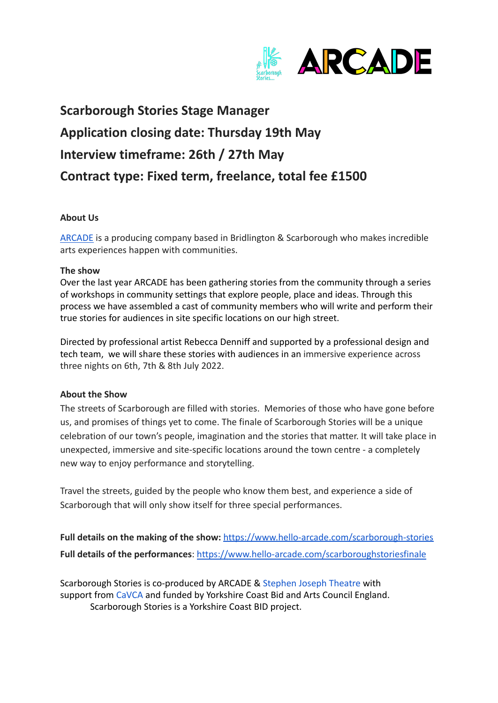

# **Scarborough Stories Stage Manager Application closing date: Thursday 19th May Interview timeframe: 26th / 27th May Contract type: Fixed term, freelance, total fee £1500**

### **About Us**

[ARCADE](https://twitter.com/arcade_hello) is a producing company based in Bridlington & Scarborough who makes incredible arts experiences happen with communities.

#### **The show**

Over the last year ARCADE has been gathering stories from the community through a series of workshops in community settings that explore people, place and ideas. Through this process we have assembled a cast of community members who will write and perform their true stories for audiences in site specific locations on our high street.

Directed by professional artist Rebecca Denniff and supported by a professional design and tech team, we will share these stories with audiences in an immersive experience across three nights on 6th, 7th & 8th July 2022.

### **About the Show**

The streets of Scarborough are filled with stories. Memories of those who have gone before us, and promises of things yet to come. The finale of Scarborough Stories will be a unique celebration of our town's people, imagination and the stories that matter. It will take place in unexpected, immersive and site-specific locations around the town centre - a completely new way to enjoy performance and storytelling.

Travel the streets, guided by the people who know them best, and experience a side of Scarborough that will only show itself for three special performances.

Full details on the making of the show: <https://www.hello-arcade.com/scarborough-stories> **Full details of the performances**: <https://www.hello-arcade.com/scarboroughstoriesfinale>

Scarborough Stories is co-produced by ARCADE & Stephen [Joseph Theatre](https://www.sjt.uk.com/) with support from [CaVCA](https://cavca.org.uk/the-street-scarborough/) and funded by Yorkshire Coast Bid and Arts Council England. Scarborough Stories is a Yorkshire Coast BID project.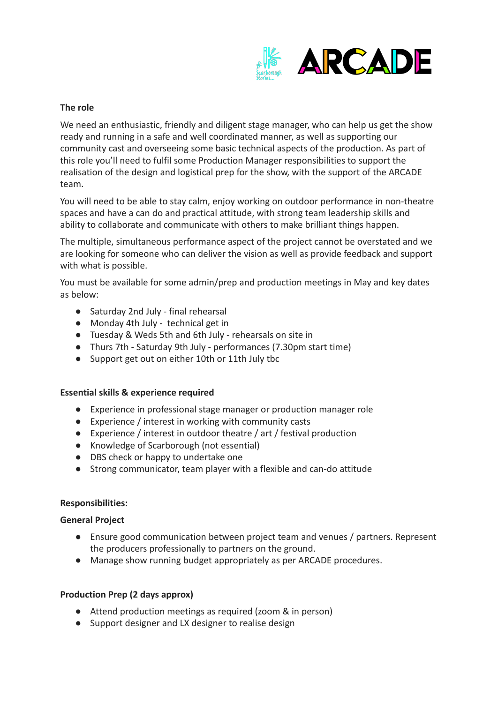

## **The role**

We need an enthusiastic, friendly and diligent stage manager, who can help us get the show ready and running in a safe and well coordinated manner, as well as supporting our community cast and overseeing some basic technical aspects of the production. As part of this role you'll need to fulfil some Production Manager responsibilities to support the realisation of the design and logistical prep for the show, with the support of the ARCADE team.

You will need to be able to stay calm, enjoy working on outdoor performance in non-theatre spaces and have a can do and practical attitude, with strong team leadership skills and ability to collaborate and communicate with others to make brilliant things happen.

The multiple, simultaneous performance aspect of the project cannot be overstated and we are looking for someone who can deliver the vision as well as provide feedback and support with what is possible.

You must be available for some admin/prep and production meetings in May and key dates as below:

- Saturday 2nd July final rehearsal
- Monday 4th July technical get in
- Tuesday & Weds 5th and 6th July rehearsals on site in
- Thurs 7th Saturday 9th July performances (7.30pm start time)
- Support get out on either 10th or 11th July tbc

### **Essential skills & experience required**

- Experience in professional stage manager or production manager role
- Experience / interest in working with community casts
- Experience / interest in outdoor theatre / art / festival production
- Knowledge of Scarborough (not essential)
- DBS check or happy to undertake one
- Strong communicator, team player with a flexible and can-do attitude

### **Responsibilities:**

### **General Project**

- Ensure good communication between project team and venues / partners. Represent the producers professionally to partners on the ground.
- Manage show running budget appropriately as per ARCADE procedures.

### **Production Prep (2 days approx)**

- Attend production meetings as required (zoom & in person)
- Support designer and LX designer to realise design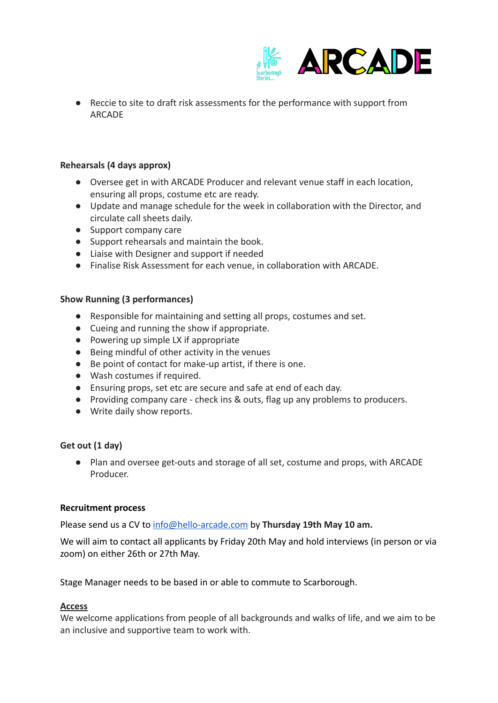

● Reccie to site to draft risk assessments for the performance with support from ARCADE

### **Rehearsals (4 days approx)**

- Oversee get in with ARCADE Producer and relevant venue staff in each location, ensuring all props, costume etc are ready.
- Update and manage schedule for the week in collaboration with the Director, and circulate call sheets daily.
- Support company care
- Support rehearsals and maintain the book.
- Liaise with Designer and support if needed
- Finalise Risk Assessment for each venue, in collaboration with ARCADE.

### **Show Running (3 performances)**

- Responsible for maintaining and setting all props, costumes and set.
- Cueing and running the show if appropriate.
- Powering up simple LX if appropriate
- Being mindful of other activity in the venues
- Be point of contact for make-up artist, if there is one.
- Wash costumes if required.
- Ensuring props, set etc are secure and safe at end of each day.
- Providing company care check ins & outs, flag up any problems to producers.
- Write daily show reports.

### **Get out (1 day)**

● Plan and oversee get-outs and storage of all set, costume and props, with ARCADE Producer.

### **Recruitment process**

Please send us a CV to [info@hello-arcade.com](mailto:info@arcade-helloarcade.com) by **Thursday 19th May 10 am.**

We will aim to contact all applicants by Friday 20th May and hold interviews (in person or via zoom) on either 26th or 27th May.

Stage Manager needs to be based in or able to commute to Scarborough.

### **Access**

We welcome applications from people of all backgrounds and walks of life, and we aim to be an inclusive and supportive team to work with.